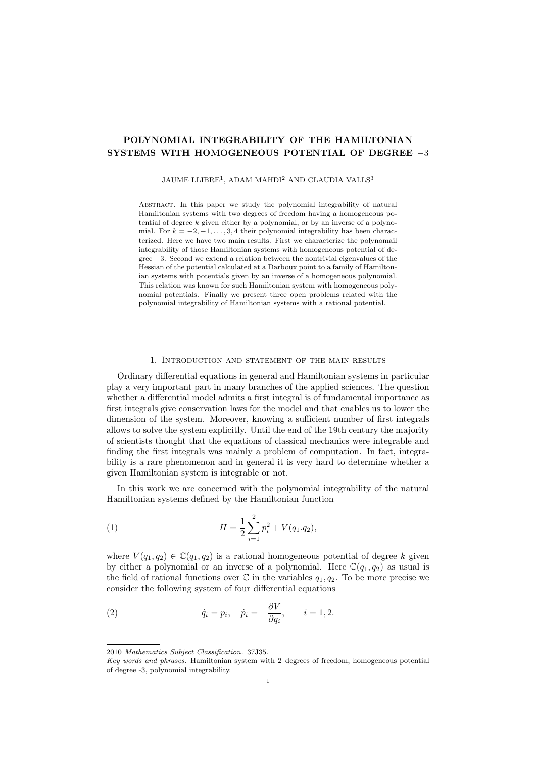# **POLYNOMIAL INTEGRABILITY OF THE HAMILTONIAN SYSTEMS WITH HOMOGENEOUS POTENTIAL OF DEGREE** *−*3

#### JAUME LLIBRE<sup>1</sup>, ADAM MAHDI<sup>2</sup> AND CLAUDIA VALLS<sup>3</sup>

Abstract. In this paper we study the polynomial integrability of natural Hamiltonian systems with two degrees of freedom having a homogeneous potential of degree *k* given either by a polynomial, or by an inverse of a polynomial. For  $k = -2, -1, \ldots, 3, 4$  their polynomial integrability has been characterized. Here we have two main results. First we characterize the polynomail integrability of those Hamiltonian systems with homogeneous potential of degree *−*3. Second we extend a relation between the nontrivial eigenvalues of the Hessian of the potential calculated at a Darboux point to a family of Hamiltonian systems with potentials given by an inverse of a homogeneous polynomial. This relation was known for such Hamiltonian system with homogeneous polynomial potentials. Finally we present three open problems related with the polynomial integrability of Hamiltonian systems with a rational potential.

## 1. Introduction and statement of the main results

Ordinary differential equations in general and Hamiltonian systems in particular play a very important part in many branches of the applied sciences. The question whether a differential model admits a first integral is of fundamental importance as first integrals give conservation laws for the model and that enables us to lower the dimension of the system. Moreover, knowing a sufficient number of first integrals allows to solve the system explicitly. Until the end of the 19th century the majority of scientists thought that the equations of classical mechanics were integrable and finding the first integrals was mainly a problem of computation. In fact, integrability is a rare phenomenon and in general it is very hard to determine whether a given Hamiltonian system is integrable or not.

In this work we are concerned with the polynomial integrability of the natural Hamiltonian systems defined by the Hamiltonian function

(1) 
$$
H = \frac{1}{2} \sum_{i=1}^{2} p_i^2 + V(q_1.q_2),
$$

where  $V(q_1, q_2) \in \mathbb{C}(q_1, q_2)$  is a rational homogeneous potential of degree k given by either a polynomial or an inverse of a polynomial. Here  $\mathbb{C}(q_1, q_2)$  as usual is the field of rational functions over  $\mathbb C$  in the variables  $q_1, q_2$ . To be more precise we consider the following system of four differential equations

(2) 
$$
\dot{q}_i = p_i, \quad \dot{p}_i = -\frac{\partial V}{\partial q_i}, \quad i = 1, 2.
$$

<sup>2010</sup> *Mathematics Subject Classification.* 37J35.

*Key words and phrases.* Hamiltonian system with 2–degrees of freedom, homogeneous potential of degree -3, polynomial integrability.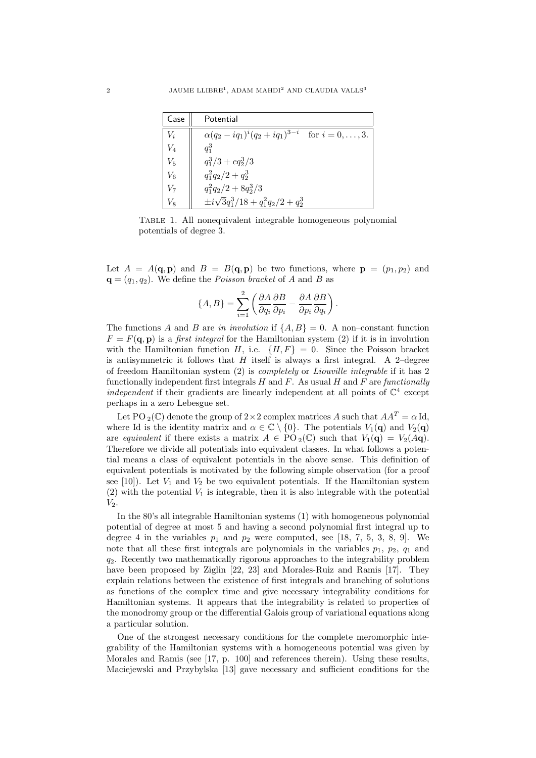| Case  | Potential                                                   |  |  |  |
|-------|-------------------------------------------------------------|--|--|--|
| $V_i$ | $\alpha(q_2 - iq_1)^i(q_2 + iq_1)^{3-i}$ for $i = 0, , 3$ . |  |  |  |
| $V_4$ | $q_1^3$                                                     |  |  |  |
| $V_5$ | $q_1^3/3 + cq_2^3/3$                                        |  |  |  |
| $V_6$ | $q_1^2q_2/2+q_2^3$                                          |  |  |  |
| V7    | $q_1^2q_2/2+8q_2^3/3$                                       |  |  |  |
|       | $\pm i\sqrt{3}q_1^3/18+q_1^2q_2/2+q_2^3$                    |  |  |  |

Table 1. All nonequivalent integrable homogeneous polynomial potentials of degree 3.

Let  $A = A(\mathbf{q}, \mathbf{p})$  and  $B = B(\mathbf{q}, \mathbf{p})$  be two functions, where  $\mathbf{p} = (p_1, p_2)$  and  $\mathbf{q} = (q_1, q_2)$ . We define the *Poisson bracket* of *A* and *B* as

$$
\{A,B\} = \sum_{i=1}^{2} \left( \frac{\partial A}{\partial q_i} \frac{\partial B}{\partial p_i} - \frac{\partial A}{\partial p_i} \frac{\partial B}{\partial q_i} \right).
$$

The functions *A* and *B* are *in involution* if  $\{A, B\} = 0$ . A non–constant function  $F = F(\mathbf{q}, \mathbf{p})$  is a *first integral* for the Hamiltonian system (2) if it is in involution with the Hamiltonian function *H*, i.e.  ${H, F} = 0$ . Since the Poisson bracket is antisymmetric it follows that  $H$  itself is always a first integral. A 2–degree of freedom Hamiltonian system (2) is *completely* or *Liouville integrable* if it has 2 functionally independent first integrals *H* and *F*. As usual *H* and *F* are *functionally independent* if their gradients are linearly independent at all points of  $\mathbb{C}^4$  except perhaps in a zero Lebesgue set.

Let PO <sub>2</sub>(C) denote the group of  $2 \times 2$  complex matrices *A* such that  $AA<sup>T</sup> = \alpha$  Id, where Id is the identity matrix and  $\alpha \in \mathbb{C} \setminus \{0\}$ . The potentials  $V_1(\mathbf{q})$  and  $V_2(\mathbf{q})$ are *equivalent* if there exists a matrix  $A \in \text{PO}_2(\mathbb{C})$  such that  $V_1(\mathbf{q}) = V_2(A\mathbf{q})$ . Therefore we divide all potentials into equivalent classes. In what follows a potential means a class of equivalent potentials in the above sense. This definition of equivalent potentials is motivated by the following simple observation (for a proof see [10]). Let  $V_1$  and  $V_2$  be two equivalent potentials. If the Hamiltonian system  $(2)$  with the potential  $V_1$  is integrable, then it is also integrable with the potential *V*2.

In the 80's all integrable Hamiltonian systems (1) with homogeneous polynomial potential of degree at most 5 and having a second polynomial first integral up to degree 4 in the variables  $p_1$  and  $p_2$  were computed, see [18, 7, 5, 3, 8, 9]. We note that all these first integrals are polynomials in the variables  $p_1$ ,  $p_2$ ,  $q_1$  and *q*2. Recently two mathematically rigorous approaches to the integrability problem have been proposed by Ziglin [22, 23] and Morales-Ruiz and Ramis [17]. They explain relations between the existence of first integrals and branching of solutions as functions of the complex time and give necessary integrability conditions for Hamiltonian systems. It appears that the integrability is related to properties of the monodromy group or the differential Galois group of variational equations along a particular solution.

One of the strongest necessary conditions for the complete meromorphic integrability of the Hamiltonian systems with a homogeneous potential was given by Morales and Ramis (see [17, p. 100] and references therein). Using these results, Maciejewski and Przybylska [13] gave necessary and sufficient conditions for the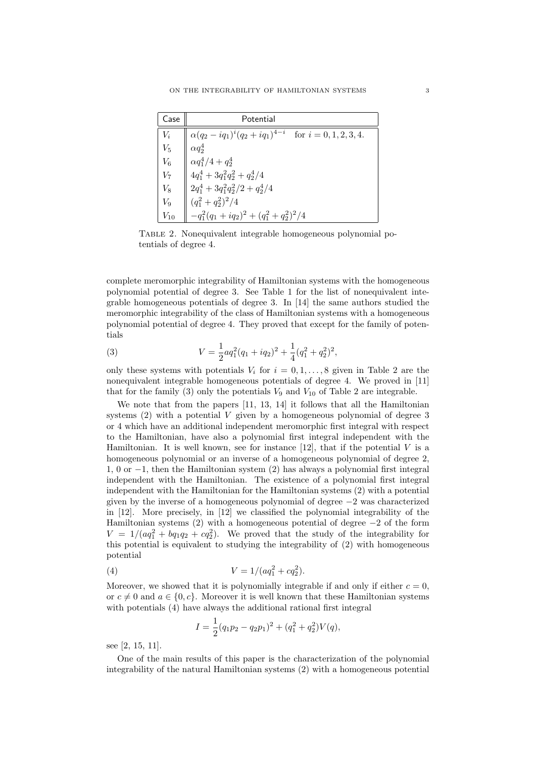| Case     | Potential                                                                                                                                                                                                                           |  |  |  |  |
|----------|-------------------------------------------------------------------------------------------------------------------------------------------------------------------------------------------------------------------------------------|--|--|--|--|
|          | $V_i$ $\parallel \alpha (q_2 - iq_1)^i (q_2 + iq_1)^{4-i}$ for $i = 0, 1, 2, 3, 4$ .                                                                                                                                                |  |  |  |  |
| $V_5$    |                                                                                                                                                                                                                                     |  |  |  |  |
|          |                                                                                                                                                                                                                                     |  |  |  |  |
|          |                                                                                                                                                                                                                                     |  |  |  |  |
|          |                                                                                                                                                                                                                                     |  |  |  |  |
|          | $\begin{array}{ c c } \hline V_5 & \alpha q_2^4 & \\ V_6 & \alpha q_1^4/4 + q_2^4 & \\ V_7 & 4 q_1^4 + 3 q_1^2 q_2^2 + q_2^4/4 & \\ V_8 & 2 q_1^4 + 3 q_1^2 q_2^2/2 + q_2^4/4 & \\ V_9 & (q_1^2+q_2^2)^2/4 & \\ \hline \end{array}$ |  |  |  |  |
| $V_{10}$ | $\Big  -q_1^2(q_1+iq_2)^2 + (q_1^2+q_2^2)^2/4$                                                                                                                                                                                      |  |  |  |  |

Table 2. Nonequivalent integrable homogeneous polynomial potentials of degree 4.

complete meromorphic integrability of Hamiltonian systems with the homogeneous polynomial potential of degree 3. See Table 1 for the list of nonequivalent integrable homogeneous potentials of degree 3. In [14] the same authors studied the meromorphic integrability of the class of Hamiltonian systems with a homogeneous polynomial potential of degree 4. They proved that except for the family of potentials

(3) 
$$
V = \frac{1}{2} a q_1^2 (q_1 + iq_2)^2 + \frac{1}{4} (q_1^2 + q_2^2)^2,
$$

only these systems with potentials  $V_i$  for  $i = 0, 1, \ldots, 8$  given in Table 2 are the nonequivalent integrable homogeneous potentials of degree 4. We proved in [11] that for the family (3) only the potentials  $V_9$  and  $V_{10}$  of Table 2 are integrable.

We note that from the papers [11, 13, 14] it follows that all the Hamiltonian systems (2) with a potential *V* given by a homogeneous polynomial of degree 3 or 4 which have an additional independent meromorphic first integral with respect to the Hamiltonian, have also a polynomial first integral independent with the Hamiltonian. It is well known, see for instance  $[12]$ , that if the potential  $V$  is a homogeneous polynomial or an inverse of a homogeneous polynomial of degree 2, 1, 0 or *−*1, then the Hamiltonian system (2) has always a polynomial first integral independent with the Hamiltonian. The existence of a polynomial first integral independent with the Hamiltonian for the Hamiltonian systems (2) with a potential given by the inverse of a homogeneous polynomial of degree *−*2 was characterized in [12]. More precisely, in [12] we classified the polynomial integrability of the Hamiltonian systems (2) with a homogeneous potential of degree *−*2 of the form  $V = 1/(aq_1^2 + bq_1q_2 + cq_2^2)$ . We proved that the study of the integrability for this potential is equivalent to studying the integrability of (2) with homogeneous potential

(4) 
$$
V = 1/(aq_1^2 + cq_2^2).
$$

Moreover, we showed that it is polynomially integrable if and only if either  $c = 0$ , or  $c \neq 0$  and  $a \in \{0, c\}$ . Moreover it is well known that these Hamiltonian systems with potentials (4) have always the additional rational first integral

$$
I = \frac{1}{2}(q_1p_2 - q_2p_1)^2 + (q_1^2 + q_2^2)V(q),
$$

see [2, 15, 11].

One of the main results of this paper is the characterization of the polynomial integrability of the natural Hamiltonian systems (2) with a homogeneous potential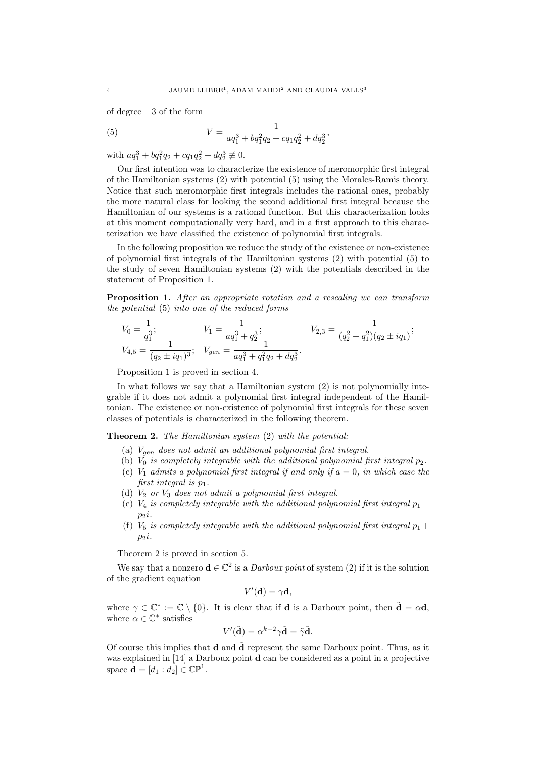of degree *−*3 of the form

(5) 
$$
V = \frac{1}{aq_1^3 + bq_1^2q_2 + cq_1q_2^2 + dq_3^3},
$$

with  $aq_1^3 + bq_1^2q_2 + cq_1q_2^2 + dq_2^3 \not\equiv 0.$ 

Our first intention was to characterize the existence of meromorphic first integral of the Hamiltonian systems (2) with potential (5) using the Morales-Ramis theory. Notice that such meromorphic first integrals includes the rational ones, probably the more natural class for looking the second additional first integral because the Hamiltonian of our systems is a rational function. But this characterization looks at this moment computationally very hard, and in a first approach to this characterization we have classified the existence of polynomial first integrals.

In the following proposition we reduce the study of the existence or non-existence of polynomial first integrals of the Hamiltonian systems (2) with potential (5) to the study of seven Hamiltonian systems (2) with the potentials described in the statement of Proposition 1.

**Proposition 1.** *After an appropriate rotation and a rescaling we can transform the potential* (5) *into one of the reduced forms*

$$
V_0 = \frac{1}{q_1^3};
$$
  
\n
$$
V_1 = \frac{1}{aq_1^3 + q_2^3};
$$
  
\n
$$
V_{2,3} = \frac{1}{(q_2^2 + q_1^2)(q_2 \pm iq_1)};
$$
  
\n
$$
V_{4,5} = \frac{1}{(q_2 \pm iq_1)^3};
$$
  
\n
$$
V_{gen} = \frac{1}{aq_1^3 + q_1^2q_2 + dq_2^3}.
$$

Proposition 1 is proved in section 4.

In what follows we say that a Hamiltonian system (2) is not polynomially integrable if it does not admit a polynomial first integral independent of the Hamiltonian. The existence or non-existence of polynomial first integrals for these seven classes of potentials is characterized in the following theorem.

## **Theorem 2.** *The Hamiltonian system* (2) *with the potential:*

- (a) *Vgen does not admit an additional polynomial first integral.*
- (b)  $\overline{V_0}$  *is completely integrable with the additional polynomial first integral*  $p_2$ .
- (c)  $V_1$  *admits a polynomial first integral if and only if*  $a = 0$ *, in which case the first integral is p*1*.*
- (d) *V*<sup>2</sup> *or V*<sup>3</sup> *does not admit a polynomial first integral.*
- (e)  $V_4$  *is completely integrable with the additional polynomial first integral*  $p_1 p_2$  $p_2$ *i.*
- (f)  $V_5$  *is completely integrable with the additional polynomial first integral*  $p_1 +$  $p_2$ *i.*

Theorem 2 is proved in section 5.

We say that a nonzero  $\mathbf{d} \in \mathbb{C}^2$  is a *Darboux point* of system (2) if it is the solution of the gradient equation

$$
V'(\mathbf{d}) = \gamma \mathbf{d},
$$

where  $\gamma \in \mathbb{C}^* := \mathbb{C} \setminus \{0\}$ . It is clear that if **d** is a Darboux point, then  $\tilde{\mathbf{d}} = \alpha \mathbf{d}$ , where  $\alpha \in \mathbb{C}^*$  satisfies

$$
V'(\tilde{\mathbf{d}}) = \alpha^{k-2} \gamma \tilde{\mathbf{d}} = \tilde{\gamma} \tilde{\mathbf{d}}.
$$

Of course this implies that **d** and **d** represent the same Darboux point. Thus, as it was explained in [14] a Darboux point **d** can be considered as a point in a projective space  $\mathbf{d} = [d_1 : d_2] \in \mathbb{CP}^1$ .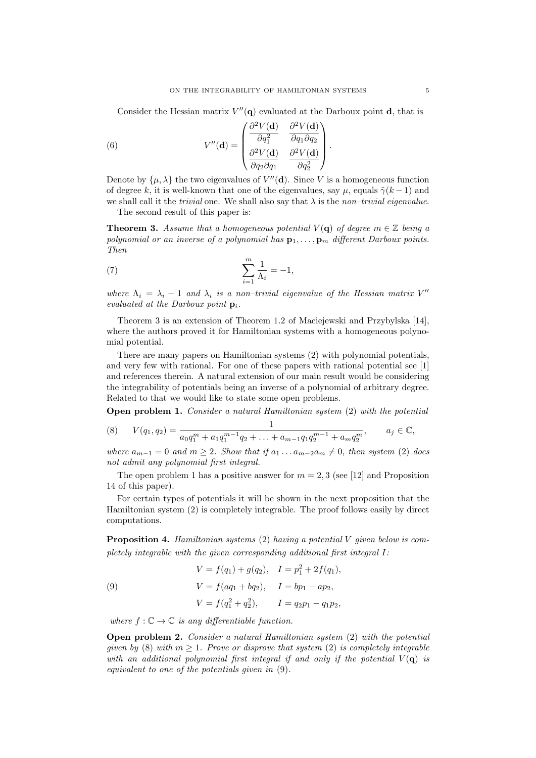Consider the Hessian matrix  $V''(\mathbf{q})$  evaluated at the Darboux point **d**, that is

(6) 
$$
V''(\mathbf{d}) = \begin{pmatrix} \frac{\partial^2 V(\mathbf{d})}{\partial q_1^2} & \frac{\partial^2 V(\mathbf{d})}{\partial q_1 \partial q_2} \\ \frac{\partial^2 V(\mathbf{d})}{\partial q_2 \partial q_1} & \frac{\partial^2 V(\mathbf{d})}{\partial q_2^2} \end{pmatrix}.
$$

Denote by  $\{\mu, \lambda\}$  the two eigenvalues of  $V''(\mathbf{d})$ . Since V is a homogeneous function of degree *k*, it is well-known that one of the eigenvalues, say  $\mu$ , equals  $\tilde{\gamma}(k-1)$  and we shall call it the *trivial* one. We shall also say that *λ* is the *non–trivial eigenvalue*. The second result of this paper is:

**Theorem 3.** Assume that a homogeneous potential  $V(\mathbf{q})$  of degree  $m \in \mathbb{Z}$  being a *polynomial or an inverse of a polynomial has*  $\mathbf{p}_1, \ldots, \mathbf{p}_m$  *different Darboux points. Then*

(7) 
$$
\sum_{i=1}^{m} \frac{1}{\Lambda_i} = -1,
$$

*where*  $\Lambda_i = \lambda_i - 1$  *and*  $\lambda_i$  *is a non–trivial eigenvalue of the Hessian matrix*  $V''$ *evaluated at the Darboux point* **p***i.*

Theorem 3 is an extension of Theorem 1.2 of Maciejewski and Przybylska [14], where the authors proved it for Hamiltonian systems with a homogeneous polynomial potential.

There are many papers on Hamiltonian systems (2) with polynomial potentials, and very few with rational. For one of these papers with rational potential see [1] and references therein. A natural extension of our main result would be considering the integrability of potentials being an inverse of a polynomial of arbitrary degree. Related to that we would like to state some open problems.

**Open problem 1.** *Consider a natural Hamiltonian system* (2) *with the potential*

(8) 
$$
V(q_1, q_2) = \frac{1}{a_0 q_1^m + a_1 q_1^{m-1} q_2 + \ldots + a_{m-1} q_1 q_2^{m-1} + a_m q_2^m}, \qquad a_j \in \mathbb{C},
$$

*where*  $a_{m-1} = 0$  *and*  $m \geq 2$ *. Show that* if  $a_1 \ldots a_{m-2} a_m \neq 0$ *, then system* (2) *does not admit any polynomial first integral.*

The open problem 1 has a positive answer for  $m = 2, 3$  (see [12] and Proposition 14 of this paper).

For certain types of potentials it will be shown in the next proposition that the Hamiltonian system (2) is completely integrable. The proof follows easily by direct computations.

**Proposition 4.** *Hamiltonian systems* (2) *having a potential V given below is completely integrable with the given corresponding additional first integral I:*

(9)  
\n
$$
V = f(q_1) + g(q_2), \quad I = p_1^2 + 2f(q_1),
$$
\n
$$
V = f(aq_1 + bq_2), \quad I = bp_1 - ap_2,
$$
\n
$$
V = f(q_1^2 + q_2^2), \quad I = q_2p_1 - q_1p_2,
$$

*where*  $f: \mathbb{C} \to \mathbb{C}$  *is any differentiable function.* 

**Open problem 2.** *Consider a natural Hamiltonian system* (2) *with the potential given by* (8) *with*  $m \geq 1$ *. Prove or disprove that system* (2) *is completely integrable with an additional polynomial first integral if and only if the potential*  $V(\mathbf{q})$  *is equivalent to one of the potentials given in* (9)*.*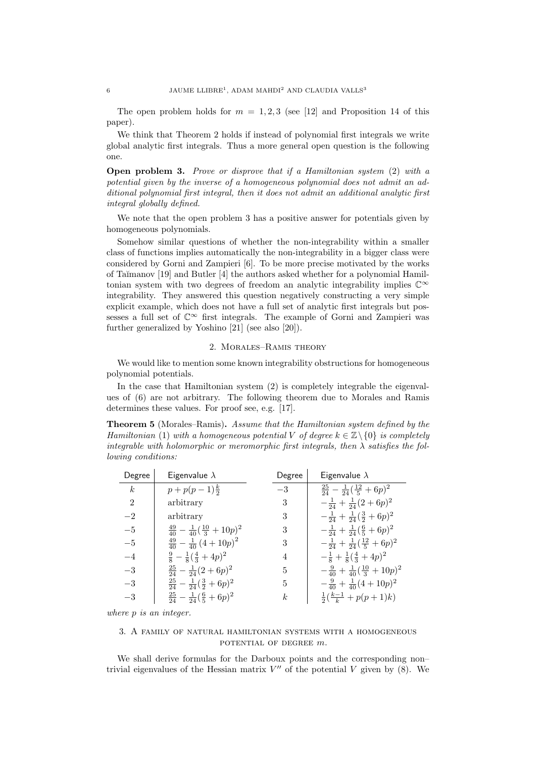The open problem holds for  $m = 1, 2, 3$  (see [12] and Proposition 14 of this paper).

We think that Theorem 2 holds if instead of polynomial first integrals we write global analytic first integrals. Thus a more general open question is the following one.

**Open problem 3.** *Prove or disprove that if a Hamiltonian system* (2) *with a potential given by the inverse of a homogeneous polynomial does not admit an additional polynomial first integral, then it does not admit an additional analytic first integral globally defined.*

We note that the open problem 3 has a positive answer for potentials given by homogeneous polynomials.

Somehow similar questions of whether the non-integrability within a smaller class of functions implies automatically the non-integrability in a bigger class were considered by Gorni and Zampieri [6]. To be more precise motivated by the works of Ta˘ımanov [19] and Butler [4] the authors asked whether for a polynomial Hamiltonian system with two degrees of freedom an analytic integrability implies C*<sup>∞</sup>* integrability. They answered this question negatively constructing a very simple explicit example, which does not have a full set of analytic first integrals but possesses a full set of  $\mathbb{C}^{\infty}$  first integrals. The example of Gorni and Zampieri was further generalized by Yoshino [21] (see also [20]).

### 2. Morales–Ramis theory

We would like to mention some known integrability obstructions for homogeneous polynomial potentials.

In the case that Hamiltonian system (2) is completely integrable the eigenvalues of (6) are not arbitrary. The following theorem due to Morales and Ramis determines these values. For proof see, e.g. [17].

**Theorem 5** (Morales–Ramis)**.** *Assume that the Hamiltonian system defined by the Hamiltonian* (1) *with a homogeneous potential V of degree*  $k \in \mathbb{Z} \setminus \{0\}$  *is completely integrable with holomorphic or meromorphic first integrals, then*  $\lambda$  *satisfies the following conditions:*

| Degree           | Eigenvalue $\lambda$                                 | Degree | Eigenvalue $\lambda$                                 |
|------------------|------------------------------------------------------|--------|------------------------------------------------------|
| $\boldsymbol{k}$ | $p+p(p-1)\frac{k}{2}$                                | $-3$   | $rac{25}{24} - \frac{1}{24}(\frac{12}{5} + 6p)^2$    |
| $\overline{2}$   | arbitrary                                            | 3      | $-\frac{1}{24}+\frac{1}{24}(2+6p)^2$                 |
| $-2$             | arbitrary                                            | 3      | $-\frac{1}{24}+\frac{1}{24}(\frac{3}{2}+6p)^2$       |
| $-5$             | $\frac{49}{40} - \frac{1}{40}(\frac{10}{3} + 10p)^2$ | 3      | $-\frac{1}{24}+\frac{1}{24}(\frac{6}{5}+6p)^2$       |
| $-5$             | $\frac{49}{40} - \frac{1}{40} (4+10p)^2$             | 3      | $-\frac{1}{24}+\frac{1}{24}(\frac{12}{5}+6p)^2$      |
| $-4$             | $\frac{9}{8} - \frac{1}{8}(\frac{4}{3} + 4p)^2$      | 4      | $-\frac{1}{8} + \frac{1}{8}(\frac{4}{3} + 4p)^2$     |
| $-3$             | $rac{25}{24} - \frac{1}{24}(2+6p)^2$                 | 5      | $-\frac{9}{40} + \frac{1}{40}(\frac{10}{3} + 10p)^2$ |
| $-3$             | $rac{25}{24} - \frac{1}{24}(\frac{3}{2} + 6p)^2$     | 5      | $-\frac{9}{40}+\frac{1}{40}(4+10p)^2$                |
| $-3$             | $rac{25}{24} - \frac{1}{24}(\frac{6}{5} + 6p)^2$     | k      | $\frac{1}{2}(\frac{k-1}{k}+p(p+1)k)$                 |

*where p is an integer.*

# 3. A family of natural hamiltonian systems with a homogeneous potential of degree *m*.

We shall derive formulas for the Darboux points and the corresponding non– trivial eigenvalues of the Hessian matrix  $V''$  of the potential V given by  $(8)$ . We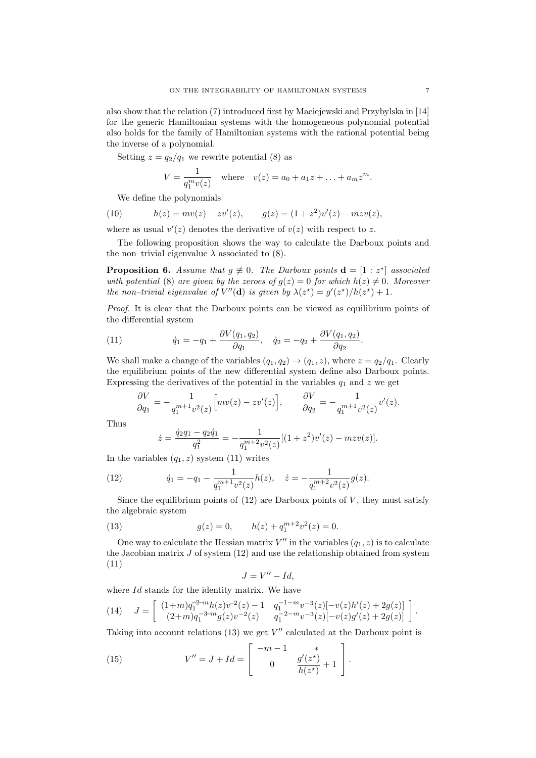also show that the relation (7) introduced first by Maciejewski and Przybylska in [14] for the generic Hamiltonian systems with the homogeneous polynomial potential also holds for the family of Hamiltonian systems with the rational potential being the inverse of a polynomial.

Setting  $z = q_2/q_1$  we rewrite potential (8) as

$$
V = \frac{1}{q_1^m v(z)}
$$
 where  $v(z) = a_0 + a_1 z + ... + a_m z^m$ .

We define the polynomials

(10) 
$$
h(z) = mv(z) - zv'(z), \qquad g(z) = (1 + z^2)v'(z) - m zv(z),
$$

where as usual  $v'(z)$  denotes the derivative of  $v(z)$  with respect to z.

The following proposition shows the way to calculate the Darboux points and the non–trivial eigenvalue  $\lambda$  associated to (8).

**Proposition 6.** Assume that  $g \neq 0$ . The Darboux points  $\mathbf{d} = [1 : z^*]$  associated *with potential* (8) *are given by the zeroes of*  $g(z) = 0$  *for which*  $h(z) \neq 0$ *. Moreover the non–trivial eigenvalue of*  $V''(\mathbf{d})$  *is given by*  $\lambda(z^*) = g'(z^*)/h(z^*) + 1$ .

*Proof.* It is clear that the Darboux points can be viewed as equilibrium points of the differential system

(11) 
$$
\dot{q}_1 = -q_1 + \frac{\partial V(q_1, q_2)}{\partial q_1}, \quad \dot{q}_2 = -q_2 + \frac{\partial V(q_1, q_2)}{\partial q_2}.
$$

We shall make a change of the variables  $(q_1, q_2) \rightarrow (q_1, z)$ , where  $z = q_2/q_1$ . Clearly the equilibrium points of the new differential system define also Darboux points. Expressing the derivatives of the potential in the variables  $q_1$  and  $z$  we get

$$
\frac{\partial V}{\partial q_1} = -\frac{1}{q_1^{m+1}v^2(z)} \Big[ mv(z) - zv'(z) \Big], \qquad \frac{\partial V}{\partial q_2} = -\frac{1}{q_1^{m+1}v^2(z)} v'(z).
$$

Thus

$$
\dot{z} = \frac{\dot{q}_2 q_1 - q_2 \dot{q}_1}{q_1^2} = -\frac{1}{q_1^{m+2} v^2(z)} [(1+z^2)v'(z) - m z v(z)].
$$

In the variables  $(q_1, z)$  system  $(11)$  writes

(12) 
$$
\dot{q}_1 = -q_1 - \frac{1}{q_1^{m+1}v^2(z)}h(z), \quad \dot{z} = -\frac{1}{q_1^{m+2}v^2(z)}g(z).
$$

Since the equilibrium points of  $(12)$  are Darboux points of *V*, they must satisfy the algebraic system

(13) 
$$
g(z) = 0, \qquad h(z) + q_1^{m+2} v^2(z) = 0.
$$

One way to calculate the Hessian matrix  $V''$  in the variables  $(q_1, z)$  is to calculate the Jacobian matrix *J* of system (12) and use the relationship obtained from system (11)

$$
J = V'' - Id,
$$

where *Id* stands for the identity matrix. We have

$$
(14) \quad J = \begin{bmatrix} (1+m)q_1^{-2-m}h(z)v^{-2}(z) - 1 & q_1^{-1-m}v^{-3}(z)[-v(z)h'(z) + 2g(z)] \\ (2+m)q_1^{-3-m}g(z)v^{-2}(z) & q_1^{-2-m}v^{-3}(z)[-v(z)g'(z) + 2g(z)] \end{bmatrix}.
$$

Taking into account relations (13) we get  $V''$  calculated at the Darboux point is

(15) 
$$
V'' = J + Id = \begin{bmatrix} -m - 1 & * \\ 0 & \frac{g'(z^*)}{h(z^*)} + 1 \end{bmatrix}.
$$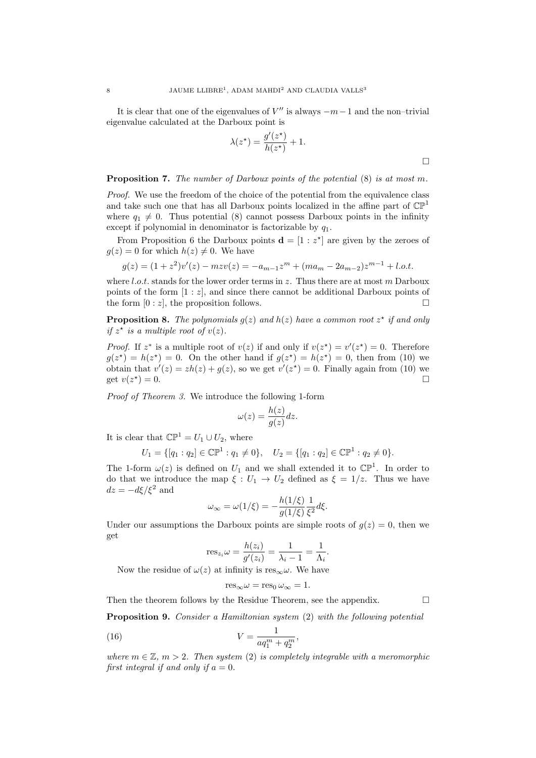It is clear that one of the eigenvalues of *V ′′* is always *−m−*1 and the non–trivial eigenvalue calculated at the Darboux point is

$$
\lambda(z^*) = \frac{g'(z^*)}{h(z^*)} + 1.
$$

#### **Proposition 7.** *The number of Darboux points of the potential* (8) *is at most m.*

*Proof.* We use the freedom of the choice of the potential from the equivalence class and take such one that has all Darboux points localized in the affine part of  $\mathbb{CP}^1$ where  $q_1 \neq 0$ . Thus potential (8) cannot possess Darboux points in the infinity except if polynomial in denominator is factorizable by *q*1.

From Proposition 6 the Darboux points  $\mathbf{d} = \begin{bmatrix} 1 : z^* \end{bmatrix}$  are given by the zeroes of  $q(z) = 0$  for which  $h(z) \neq 0$ . We have

$$
g(z) = (1 + z2)v'(z) - mzv(z) = -am-1zm + (mam - 2am-2)zm-1 + l.o.t.
$$

where *l.o.t.* stands for the lower order terms in *z*. Thus there are at most *m* Darboux points of the form  $[1 : z]$ , and since there cannot be additional Darboux points of the form  $[0 : z]$ , the proposition follows.

**Proposition 8.** The polynomials  $g(z)$  and  $h(z)$  have a common root  $z^*$  if and only *if*  $z^*$  *is a multiple root of*  $v(z)$ *.* 

*Proof.* If  $z^*$  is a multiple root of  $v(z)$  if and only if  $v(z^*) = v'(z^*) = 0$ . Therefore  $g(z^*) = h(z^*) = 0$ . On the other hand if  $g(z^*) = h(z^*) = 0$ , then from (10) we obtain that  $v'(z) = zh(z) + g(z)$ , so we get  $v'(z^*) = 0$ . Finally again from (10) we get  $v(z^*$  $) = 0.$ 

*Proof of Theorem 3.* We introduce the following 1-form

$$
\omega(z) = \frac{h(z)}{g(z)} dz.
$$

It is clear that  $\mathbb{CP}^1 = U_1 \cup U_2$ , where

$$
U_1 = \{ [q_1 : q_2] \in \mathbb{CP}^1 : q_1 \neq 0 \}, \quad U_2 = \{ [q_1 : q_2] \in \mathbb{CP}^1 : q_2 \neq 0 \}.
$$

The 1-form  $\omega(z)$  is defined on  $U_1$  and we shall extended it to  $\mathbb{CP}^1$ . In order to do that we introduce the map  $\xi: U_1 \to U_2$  defined as  $\xi = 1/z$ . Thus we have  $dz = -d\xi/\xi^2$  and

$$
\omega_{\infty} = \omega(1/\xi) = -\frac{h(1/\xi)}{g(1/\xi)} \frac{1}{\xi^2} d\xi.
$$

Under our assumptions the Darboux points are simple roots of  $g(z) = 0$ , then we get

$$
res_{z_i}\omega = \frac{h(z_i)}{g'(z_i)} = \frac{1}{\lambda_i - 1} = \frac{1}{\Lambda_i}.
$$

Now the residue of  $\omega(z)$  at infinity is res<sub>∞</sub> $\omega$ . We have

$$
res_{\infty}\omega = res_0 \,\omega_{\infty} = 1.
$$

Then the theorem follows by the Residue Theorem, see the appendix.  $\square$ 

 $\Box$ 

**Proposition 9.** *Consider a Hamiltonian system* (2) *with the following potential*

(16) 
$$
V = \frac{1}{aq_1^m + q_2^m},
$$

*where*  $m \in \mathbb{Z}$ ,  $m > 2$ . Then system (2) is completely integrable with a meromorphic *first integral if and only if*  $a = 0$ *.*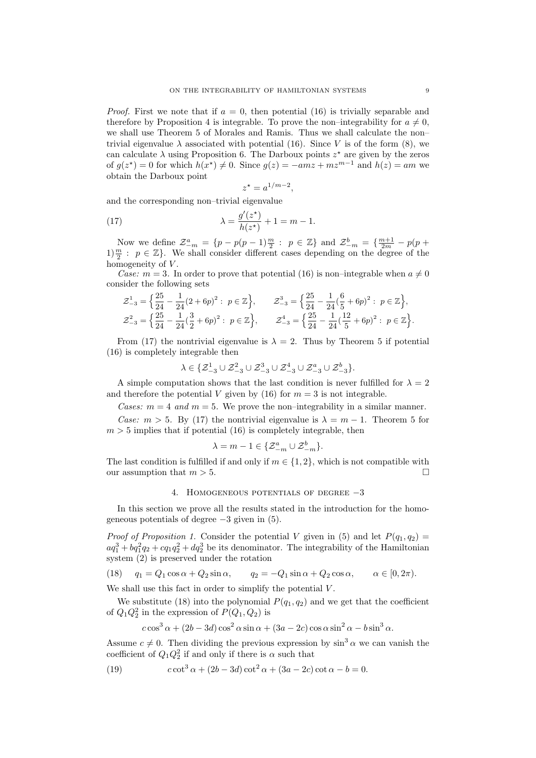*Proof.* First we note that if  $a = 0$ , then potential (16) is trivially separable and therefore by Proposition 4 is integrable. To prove the non–integrability for  $a \neq 0$ , we shall use Theorem 5 of Morales and Ramis. Thus we shall calculate the non– trivial eigenvalue  $\lambda$  associated with potential (16). Since *V* is of the form (8), we can calculate  $\lambda$  using Proposition 6. The Darboux points  $z^*$  are given by the zeros of  $g(z^*) = 0$  for which  $h(x^*) \neq 0$ . Since  $g(z) = -amz + mz^{m-1}$  and  $h(z) = am$  we obtain the Darboux point

$$
z^* = a^{1/m-2},
$$

and the corresponding non–trivial eigenvalue

(17) 
$$
\lambda = \frac{g'(z^*)}{h(z^*)} + 1 = m - 1.
$$

Now we define  $\mathcal{Z}_{-m}^a = \{p - p(p-1)\frac{m}{2} : p \in \mathbb{Z}\}\$  and  $\mathcal{Z}_{-m}^b = \{\frac{m+1}{2m} - p(p+1)\}$  $1\frac{m}{2}$ :  $p \in \mathbb{Z}$ . We shall consider different cases depending on the degree of the homogeneity of *V* .

*Case:*  $m = 3$ . In order to prove that potential (16) is non–integrable when  $a \neq 0$ consider the following sets

$$
\mathcal{Z}_{-3}^1 = \left\{ \frac{25}{24} - \frac{1}{24} (2 + 6p)^2 : \ p \in \mathbb{Z} \right\}, \qquad \mathcal{Z}_{-3}^3 = \left\{ \frac{25}{24} - \frac{1}{24} (\frac{6}{5} + 6p)^2 : \ p \in \mathbb{Z} \right\},
$$
  

$$
\mathcal{Z}_{-3}^2 = \left\{ \frac{25}{24} - \frac{1}{24} (\frac{3}{2} + 6p)^2 : \ p \in \mathbb{Z} \right\}, \qquad \mathcal{Z}_{-3}^4 = \left\{ \frac{25}{24} - \frac{1}{24} (\frac{12}{5} + 6p)^2 : \ p \in \mathbb{Z} \right\}.
$$

From (17) the nontrivial eigenvalue is  $\lambda = 2$ . Thus by Theorem 5 if potential (16) is completely integrable then

$$
\lambda \in \{\mathcal{Z}_{-3}^1 \cup \mathcal{Z}_{-3}^2 \cup \mathcal{Z}_{-3}^3 \cup \mathcal{Z}_{-3}^4 \cup \mathcal{Z}_{-3}^a \cup \mathcal{Z}_{-3}^b\}.
$$

A simple computation shows that the last condition is never fulfilled for  $\lambda = 2$ and therefore the potential *V* given by (16) for  $m = 3$  is not integrable.

*Cases:*  $m = 4$  *and*  $m = 5$ . We prove the non–integrability in a similar manner. *Case:*  $m > 5$ . By (17) the nontrivial eigenvalue is  $\lambda = m - 1$ . Theorem 5 for  $m > 5$  implies that if potential (16) is completely integrable, then

$$
\lambda = m - 1 \in \{ \mathcal{Z}_{-m}^a \cup \mathcal{Z}_{-m}^b \}.
$$

The last condition is fulfilled if and only if  $m \in \{1, 2\}$ , which is not compatible with our assumption that  $m > 5$ .

## 4. Homogeneous potentials of degree *−*3

In this section we prove all the results stated in the introduction for the homogeneous potentials of degree *−*3 given in (5).

*Proof of Proposition 1.* Consider the potential *V* given in (5) and let  $P(q_1, q_2)$  =  $aq_1^3 + bq_1^2q_2 + cq_1q_2^2 + dq_2^3$  be its denominator. The integrability of the Hamiltonian system (2) is preserved under the rotation

(18) 
$$
q_1 = Q_1 \cos \alpha + Q_2 \sin \alpha
$$
,  $q_2 = -Q_1 \sin \alpha + Q_2 \cos \alpha$ ,  $\alpha \in [0, 2\pi)$ .

We shall use this fact in order to simplify the potential *V* .

We substitute (18) into the polynomial  $P(q_1, q_2)$  and we get that the coefficient of  $Q_1 Q_2^2$  in the expression of  $P(Q_1, Q_2)$  is

$$
c\cos^3\alpha + (2b - 3d)\cos^2\alpha\sin\alpha + (3a - 2c)\cos\alpha\sin^2\alpha - b\sin^3\alpha.
$$

Assume  $c \neq 0$ . Then dividing the previous expression by  $\sin^3 \alpha$  we can vanish the coefficient of  $Q_1 Q_2^2$  if and only if there is  $\alpha$  such that

(19) 
$$
c \cot^3 \alpha + (2b - 3d) \cot^2 \alpha + (3a - 2c) \cot \alpha - b = 0.
$$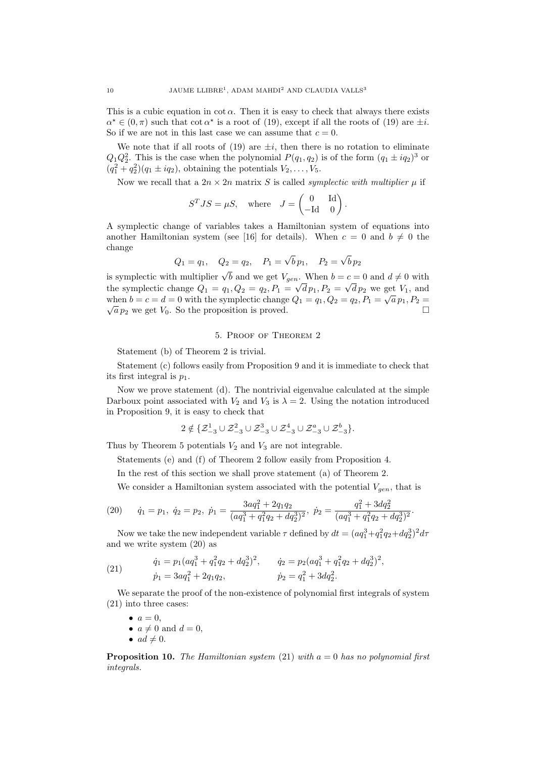This is a cubic equation in  $\cot \alpha$ . Then it is easy to check that always there exists  $\alpha^* \in (0, \pi)$  such that cot  $\alpha^*$  is a root of (19), except if all the roots of (19) are  $\pm i$ . So if we are not in this last case we can assume that  $c = 0$ .

We note that if all roots of  $(19)$  are  $\pm i$ , then there is no rotation to eliminate  $Q_1 Q_2^2$ . This is the case when the polynomial  $P(q_1, q_2)$  is of the form  $(q_1 \pm iq_2)^3$  or  $(q_1^2 + q_2^2)(q_1 \pm iq_2)$ , obtaining the potentials  $V_2, ..., V_5$ .

Now we recall that a  $2n \times 2n$  matrix *S* is called *symplectic with multiplier*  $\mu$  if

$$
STJS = \mu S, \text{ where } J = \begin{pmatrix} 0 & \text{Id} \\ -\text{Id} & 0 \end{pmatrix}.
$$

A symplectic change of variables takes a Hamiltonian system of equations into another Hamiltonian system (see [16] for details). When  $c = 0$  and  $b \neq 0$  the change

$$
Q_1 = q_1
$$
,  $Q_2 = q_2$ ,  $P_1 = \sqrt{b} p_1$ ,  $P_2 = \sqrt{b} p_2$ 

is symplectic with multiplier  $\sqrt{b}$  and we get  $V_{gen}$ . When  $b = c = 0$  and  $d \neq 0$  with the symplectic change  $Q_1 = q_1, Q_2 = q_2, P_1 = \sqrt{d p_1}, P_2 = \sqrt{d p_2}$  we get  $V_1$ , and when  $b = c = d = 0$  with the symplectic change  $Q_1 = q_1, Q_2 = q_2, P_1 = \sqrt{a} p_1, P_2 = \sqrt{a^2 + 1^2}$  $\sqrt{a} p_2$  we get  $V_0$ . So the proposition is proved.

## 5. Proof of Theorem 2

Statement (b) of Theorem 2 is trivial.

Statement (c) follows easily from Proposition 9 and it is immediate to check that its first integral is *p*1.

Now we prove statement (d). The nontrivial eigenvalue calculated at the simple Darboux point associated with  $V_2$  and  $V_3$  is  $\lambda = 2$ . Using the notation introduced in Proposition 9, it is easy to check that

$$
2 \notin \{ \mathcal{Z}_{-3}^1 \cup \mathcal{Z}_{-3}^2 \cup \mathcal{Z}_{-3}^3 \cup \mathcal{Z}_{-3}^4 \cup \mathcal{Z}_{-3}^a \cup \mathcal{Z}_{-3}^b \}.
$$

Thus by Theorem 5 potentials  $V_2$  and  $V_3$  are not integrable.

Statements (e) and (f) of Theorem 2 follow easily from Proposition 4.

In the rest of this section we shall prove statement (a) of Theorem 2.

We consider a Hamiltonian system associated with the potential  $V_{gen}$ , that is

(20) 
$$
\dot{q}_1 = p_1, \ \dot{q}_2 = p_2, \ \dot{p}_1 = \frac{3aq_1^2 + 2q_1q_2}{(aq_1^3 + q_1^2q_2 + dq_2^3)^2}, \ \dot{p}_2 = \frac{q_1^2 + 3dq_2^2}{(aq_1^3 + q_1^2q_2 + dq_2^3)^2}.
$$

Now we take the new independent variable  $\tau$  defined by  $dt = (a q_1^3 + q_1^2 q_2 + d q_2^3)^2 d\tau$ and we write system (20) as

(21) 
$$
\dot{q}_1 = p_1(aq_1^3 + q_1^2q_2 + dq_2^3)^2, \qquad \dot{q}_2 = p_2(aq_1^3 + q_1^2q_2 + dq_2^3)^2, \n\dot{p}_1 = 3aq_1^2 + 2q_1q_2, \qquad \dot{p}_2 = q_1^2 + 3dq_2^2.
$$

We separate the proof of the non-existence of polynomial first integrals of system (21) into three cases:

- $\bullet$   $a = 0$ ,
- $a \neq 0$  and  $d = 0$ ,
- $ad \neq 0$ .

**Proposition 10.** *The Hamiltonian system* (21) *with a* = 0 *has no polynomial first integrals.*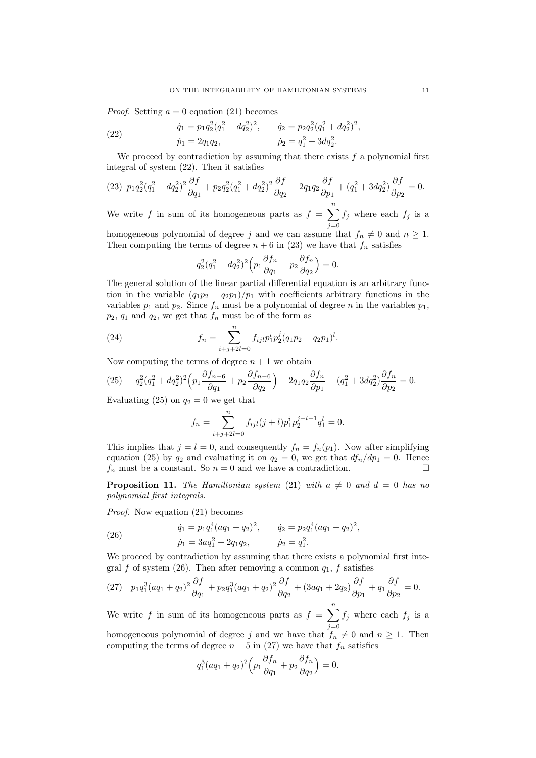*Proof.* Setting  $a = 0$  equation (21) becomes

(22) 
$$
\dot{q}_1 = p_1 q_2^2 (q_1^2 + dq_2^2)^2, \qquad \dot{q}_2 = p_2 q_2^2 (q_1^2 + dq_2^2)^2, \n\dot{p}_1 = 2q_1 q_2, \qquad \dot{p}_2 = q_1^2 + 3dq_2^2.
$$

We proceed by contradiction by assuming that there exists *f* a polynomial first integral of system (22). Then it satisfies

$$
(23)\ \ p_1q_2^2(q_1^2+dq_2^2)^2\frac{\partial f}{\partial q_1} + p_2q_2^2(q_1^2+dq_2^2)^2\frac{\partial f}{\partial q_2} + 2q_1q_2\frac{\partial f}{\partial p_1} + (q_1^2+3dq_2^2)\frac{\partial f}{\partial p_2} = 0.
$$

We write *f* in sum of its homogeneous parts as  $f = \sum_{n=1}^{\infty}$ *j*=0  $f_j$  where each  $f_j$  is a

homogeneous polynomial of degree *j* and we can assume that  $f_n \neq 0$  and  $n \geq 1$ . Then computing the terms of degree  $n + 6$  in (23) we have that  $f_n$  satisfies

$$
q_2^2(q_1^2 + dq_2^2)^2 \left(p_1 \frac{\partial f_n}{\partial q_1} + p_2 \frac{\partial f_n}{\partial q_2}\right) = 0.
$$

The general solution of the linear partial differential equation is an arbitrary function in the variable  $(q_1p_2 - q_2p_1)/p_1$  with coefficients arbitrary functions in the variables  $p_1$  and  $p_2$ . Since  $f_n$  must be a polynomial of degree *n* in the variables  $p_1$ .  $p_2$ ,  $q_1$  and  $q_2$ , we get that  $f_n$  must be of the form as

(24) 
$$
f_n = \sum_{i+j+2l=0}^n f_{ijl} p_1^i p_2^j (q_1 p_2 - q_2 p_1)^l.
$$

Now computing the terms of degree  $n + 1$  we obtain

(25) 
$$
q_2^2(q_1^2 + dq_2^2)^2 \left(p_1 \frac{\partial f_{n-6}}{\partial q_1} + p_2 \frac{\partial f_{n-6}}{\partial q_2}\right) + 2q_1 q_2 \frac{\partial f_n}{\partial p_1} + (q_1^2 + 3dq_2^2) \frac{\partial f_n}{\partial p_2} = 0.
$$

Evaluating (25) on  $q_2 = 0$  we get that

$$
f_n = \sum_{i+j+2l=0}^n f_{ijl}(j+l)p_1^i p_2^{j+l-1} q_1^l = 0.
$$

This implies that  $j = l = 0$ , and consequently  $f_n = f_n(p_1)$ . Now after simplifying equation (25) by  $q_2$  and evaluating it on  $q_2 = 0$ , we get that  $df_n/dp_1 = 0$ . Hence  $f_n$  must be a constant. So  $n = 0$  and we have a contradiction.

**Proposition 11.** *The Hamiltonian system* (21) *with*  $a \neq 0$  *and*  $d = 0$  *has no polynomial first integrals.*

*Proof.* Now equation (21) becomes

(26) 
$$
\dot{q}_1 = p_1 q_1^4 (a q_1 + q_2)^2, \qquad \dot{q}_2 = p_2 q_1^4 (a q_1 + q_2)^2, \n\dot{p}_1 = 3a q_1^2 + 2q_1 q_2, \qquad \dot{p}_2 = q_1^2.
$$

We proceed by contradiction by assuming that there exists a polynomial first integral *f* of system (26). Then after removing a common  $q_1$ , *f* satisfies

(27) 
$$
p_1 q_1^3 (aq_1 + q_2)^2 \frac{\partial f}{\partial q_1} + p_2 q_1^3 (aq_1 + q_2)^2 \frac{\partial f}{\partial q_2} + (3aq_1 + 2q_2) \frac{\partial f}{\partial p_1} + q_1 \frac{\partial f}{\partial p_2} = 0.
$$

We write *f* in sum of its homogeneous parts as  $f = \sum_{n=1}^{\infty}$ *j*=0  $f_j$  where each  $f_j$  is a

homogeneous polynomial of degree *j* and we have that  $f_n \neq 0$  and  $n \geq 1$ . Then computing the terms of degree  $n + 5$  in (27) we have that  $f_n$  satisfies

$$
q_1^3(aq_1+q_2)^2\Big(p_1\frac{\partial f_n}{\partial q_1}+p_2\frac{\partial f_n}{\partial q_2}\Big)=0.
$$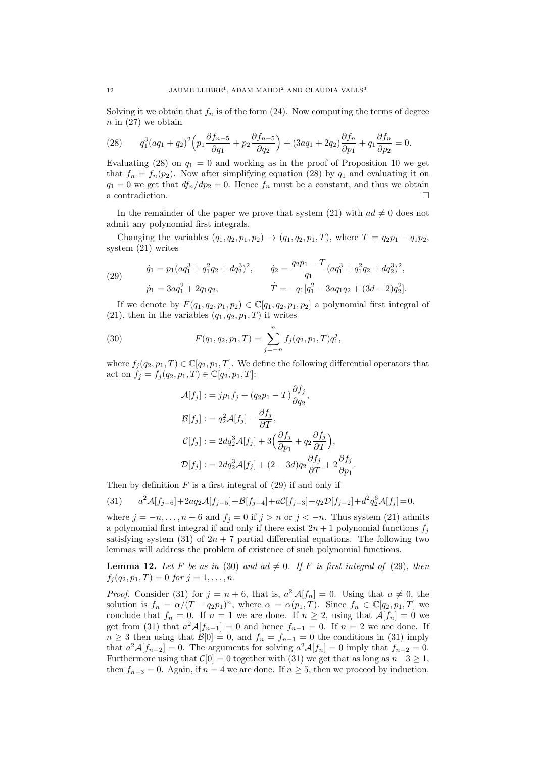Solving it we obtain that  $f_n$  is of the form  $(24)$ . Now computing the terms of degree  $n \in (27)$  we obtain

(28) 
$$
q_1^3(aq_1+q_2)^2\left(p_1\frac{\partial f_{n-5}}{\partial q_1}+p_2\frac{\partial f_{n-5}}{\partial q_2}\right)+(3aq_1+2q_2)\frac{\partial f_n}{\partial p_1}+q_1\frac{\partial f_n}{\partial p_2}=0.
$$

Evaluating (28) on  $q_1 = 0$  and working as in the proof of Proposition 10 we get that  $f_n = f_n(p_2)$ . Now after simplifying equation (28) by  $q_1$  and evaluating it on  $q_1 = 0$  we get that  $df_n/dp_2 = 0$ . Hence  $f_n$  must be a constant, and thus we obtain a contradiction.

In the remainder of the paper we prove that system (21) with  $ad \neq 0$  does not admit any polynomial first integrals.

Changing the variables  $(q_1, q_2, p_1, p_2) \rightarrow (q_1, q_2, p_1, T)$ , where  $T = q_2 p_1 - q_1 p_2$ , system (21) writes

(29) 
$$
\dot{q}_1 = p_1(aq_1^3 + q_1^2q_2 + dq_2^3)^2, \qquad \dot{q}_2 = \frac{q_2p_1 - T}{q_1}(aq_1^3 + q_1^2q_2 + dq_2^3)^2, \n\dot{p}_1 = 3aq_1^2 + 2q_1q_2, \qquad \qquad \dot{T} = -q_1[q_1^2 - 3aq_1q_2 + (3d - 2)q_2^2].
$$

If we denote by  $F(q_1, q_2, p_1, p_2) \in \mathbb{C}[q_1, q_2, p_1, p_2]$  a polynomial first integral of  $(21)$ , then in the variables  $(q_1, q_2, p_1, T)$  it writes

(30) 
$$
F(q_1, q_2, p_1, T) = \sum_{j=-n}^{n} f_j(q_2, p_1, T) q_1^j,
$$

where  $f_i(q_2, p_1, T) \in \mathbb{C}[q_2, p_1, T]$ . We define the following differential operators that act on  $f_j = f_j(q_2, p_1, T) \in \mathbb{C}[q_2, p_1, T]$ :

$$
\mathcal{A}[f_j] := j p_1 f_j + (q_2 p_1 - T) \frac{\partial f_j}{\partial q_2},
$$
  
\n
$$
\mathcal{B}[f_j] := q_2^2 \mathcal{A}[f_j] - \frac{\partial f_j}{\partial T},
$$
  
\n
$$
\mathcal{C}[f_j] := 2dq_2^3 \mathcal{A}[f_j] + 3\left(\frac{\partial f_j}{\partial p_1} + q_2 \frac{\partial f_j}{\partial T}\right),
$$
  
\n
$$
\mathcal{D}[f_j] := 2dq_2^3 \mathcal{A}[f_j] + (2 - 3d)q_2 \frac{\partial f_j}{\partial T} + 2\frac{\partial f_j}{\partial p_1}
$$

*.*

Then by definition  $F$  is a first integral of  $(29)$  if and only if

$$
(31) \qquad a^2 \mathcal{A}[f_{j-6}] + 2aq_2\mathcal{A}[f_{j-5}] + \mathcal{B}[f_{j-4}] + a\mathcal{C}[f_{j-3}] + q_2\mathcal{D}[f_{j-2}] + d^2q_2^6\mathcal{A}[f_j] = 0,
$$

where  $j = -n, \ldots, n+6$  and  $f_j = 0$  if  $j > n$  or  $j < -n$ . Thus system (21) admits a polynomial first integral if and only if there exist  $2n + 1$  polynomial functions  $f_j$ satisfying system  $(31)$  of  $2n + 7$  partial differential equations. The following two lemmas will address the problem of existence of such polynomial functions.

**Lemma 12.** Let F be as in (30) and  $ad \neq 0$ . If F is first integral of (29), then  $f_i(q_2, p_1, T) = 0$  *for*  $i = 1, \ldots, n$ *.* 

*Proof.* Consider (31) for  $j = n + 6$ , that is,  $a^2 \mathcal{A}[f_n] = 0$ . Using that  $a \neq 0$ , the solution is  $f_n = \alpha/(T - q_2p_1)^n$ , where  $\alpha = \alpha(p_1, T)$ . Since  $f_n \in \mathbb{C}[q_2, p_1, T]$  we conclude that  $f_n = 0$ . If  $n = 1$  we are done. If  $n \geq 2$ , using that  $\mathcal{A}[f_n] = 0$  we get from (31) that  $a^2 \mathcal{A}[f_{n-1}] = 0$  and hence  $f_{n-1} = 0$ . If  $n = 2$  we are done. If  $n \geq 3$  then using that  $\mathcal{B}[0] = 0$ , and  $f_n = f_{n-1} = 0$  the conditions in (31) imply that  $a^2 \mathcal{A}[f_{n-2}] = 0$ . The arguments for solving  $a^2 \mathcal{A}[f_n] = 0$  imply that  $f_{n-2} = 0$ . Furthermore using that  $C[0] = 0$  together with (31) we get that as long as  $n-3 \geq 1$ , then  $f_{n-3} = 0$ . Again, if  $n = 4$  we are done. If  $n \geq 5$ , then we proceed by induction.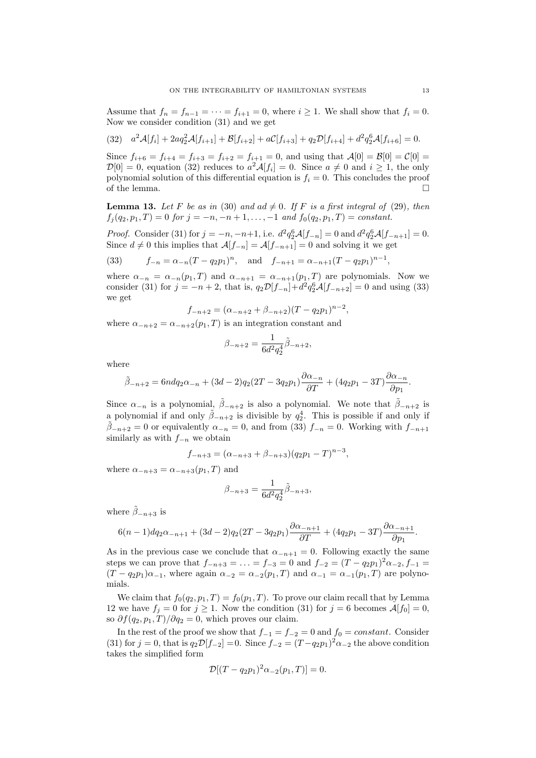Assume that  $f_n = f_{n-1} = \cdots = f_{i+1} = 0$ , where  $i \ge 1$ . We shall show that  $f_i = 0$ . Now we consider condition (31) and we get

$$
(32) \quad a^2 \mathcal{A}[f_i] + 2aq_2^2 \mathcal{A}[f_{i+1}] + \mathcal{B}[f_{i+2}] + a\mathcal{C}[f_{i+3}] + q_2 \mathcal{D}[f_{i+4}] + d^2 q_2^6 \mathcal{A}[f_{i+6}] = 0.
$$

Since  $f_{i+6} = f_{i+4} = f_{i+3} = f_{i+2} = f_{i+1} = 0$ , and using that  $\mathcal{A}[0] = \mathcal{B}[0] = \mathcal{C}[0] =$  $\mathcal{D}[0] = 0$ , equation (32) reduces to  $a^2 \mathcal{A}[f_i] = 0$ . Since  $a \neq 0$  and  $i \geq 1$ , the only polynomial solution of this differential equation is  $f_i = 0$ . This concludes the proof of the lemma.  $\Box$ 

**Lemma 13.** Let F be as in (30) and  $ad \neq 0$ . If F is a first integral of (29), then  $f_j(q_2, p_1, T) = 0$  *for*  $j = -n, -n + 1, \ldots, -1$  *and*  $f_0(q_2, p_1, T) = constant$ .

*Proof.* Consider (31) for  $j = -n, -n+1$ , i.e.  $d^2q_2^6A[f_{-n}] = 0$  and  $d^2q_2^6A[f_{-n+1}] = 0$ . Since  $d \neq 0$  this implies that  $\mathcal{A}[f_{-n}] = \mathcal{A}[f_{-n+1}] = 0$  and solving it we get

(33) 
$$
f_{-n} = \alpha_{-n} (T - q_2 p_1)^n
$$
, and  $f_{-n+1} = \alpha_{-n+1} (T - q_2 p_1)^{n-1}$ ,

where  $\alpha_{-n} = \alpha_{-n}(p_1, T)$  and  $\alpha_{-n+1} = \alpha_{-n+1}(p_1, T)$  are polynomials. Now we consider (31) for  $j = -n + 2$ , that is,  $q_2 \mathcal{D}[f_{-n}] + d^2 q_2^6 \mathcal{A}[f_{-n+2}] = 0$  and using (33) we get

$$
f_{-n+2} = (\alpha_{-n+2} + \beta_{-n+2})(T - q_2 p_1)^{n-2},
$$

where  $\alpha_{-n+2} = \alpha_{-n+2}(p_1, T)$  is an integration constant and

$$
\beta_{-n+2}=\frac{1}{6d^2q_2^4}\tilde{\beta}_{-n+2},
$$

where

$$
\tilde{\beta}_{-n+2} = 6n dq_2 \alpha_{-n} + (3d-2)q_2(2T - 3q_2p_1)\frac{\partial \alpha_{-n}}{\partial T} + (4q_2p_1 - 3T)\frac{\partial \alpha_{-n}}{\partial p_1}.
$$

Since  $\alpha_{-n}$  is a polynomial,  $\beta_{-n+2}$  is also a polynomial. We note that  $\beta_{-n+2}$  is a polynomial if and only  $\tilde{\beta}_{-n+2}$  is divisible by  $q_2^4$ . This is possible if and only if  $\beta$ <sub>−*n*+2</sub> = 0 or equivalently  $\alpha$ <sub>−*n*</sub> = 0, and from (33)  $f$ <sub>−*n*</sub> = 0. Working with  $f$ <sub>−*n*+1</sub> similarly as with *f−<sup>n</sup>* we obtain

$$
f_{-n+3} = (\alpha_{-n+3} + \beta_{-n+3})(q_2p_1 - T)^{n-3},
$$

where  $\alpha_{-n+3} = \alpha_{-n+3}(p_1, T)$  and

$$
\beta_{-n+3} = \frac{1}{6d^2q_2^4} \tilde{\beta}_{-n+3},
$$

where  $\beta_{-n+3}$  is

$$
6(n-1)dq_2\alpha_{-n+1} + (3d-2)q_2(2T-3q_2p_1)\frac{\partial\alpha_{-n+1}}{\partial T} + (4q_2p_1 - 3T)\frac{\partial\alpha_{-n+1}}{\partial p_1}.
$$

As in the previous case we conclude that  $\alpha_{-n+1} = 0$ . Following exactly the same steps we can prove that  $f_{-n+3} = \ldots = f_{-3} = 0$  and  $f_{-2} = (T - q_2 p_1)^2 \alpha_{-2}, f_{-1} =$  $(T - q_2p_1)\alpha_{-1}$ , where again  $\alpha_{-2} = \alpha_{-2}(p_1, T)$  and  $\alpha_{-1} = \alpha_{-1}(p_1, T)$  are polynomials.

We claim that  $f_0(q_2, p_1, T) = f_0(p_1, T)$ . To prove our claim recall that by Lemma 12 we have  $f_j = 0$  for  $j \ge 1$ . Now the condition (31) for  $j = 6$  becomes  $\mathcal{A}[f_0] = 0$ , so  $\partial f(q_2, p_1, T)/\partial q_2 = 0$ , which proves our claim.

In the rest of the proof we show that  $f_{-1} = f_{-2} = 0$  and  $f_0 = constant$ . Consider (31) for  $j = 0$ , that is  $q_2\mathcal{D}[f_{-2}] = 0$ . Since  $f_{-2} = (T - q_2p_1)^2 \alpha_{-2}$  the above condition takes the simplified form

$$
\mathcal{D}[(T - q_2 p_1)^2 \alpha_{-2}(p_1, T)] = 0.
$$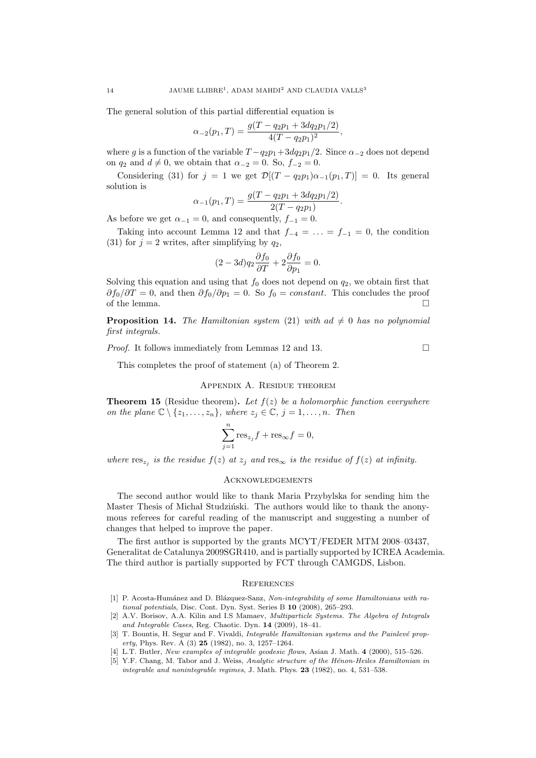The general solution of this partial differential equation is

$$
\alpha_{-2}(p_1,T) = \frac{g(T - q_2p_1 + 3dq_2p_1/2)}{4(T - q_2p_1)^2},
$$

where *g* is a function of the variable  $T - q_2p_1 + 3dq_2p_1/2$ . Since  $\alpha_{-2}$  does not depend on  $q_2$  and  $d \neq 0$ , we obtain that  $\alpha_{-2} = 0$ . So,  $f_{-2} = 0$ .

Considering (31) for  $j = 1$  we get  $\mathcal{D}[(T - q_2p_1)\alpha_{-1}(p_1, T)] = 0$ . Its general solution is

$$
\alpha_{-1}(p_1,T) = \frac{g(T - q_2p_1 + 3dq_2p_1/2)}{2(T - q_2p_1)}.
$$

As before we get  $\alpha_{-1} = 0$ , and consequently,  $f_{-1} = 0$ .

Taking into account Lemma 12 and that  $f_{-4} = \ldots = f_{-1} = 0$ , the condition (31) for  $j = 2$  writes, after simplifying by  $q_2$ ,

$$
(2 - 3d)q_2 \frac{\partial f_0}{\partial T} + 2 \frac{\partial f_0}{\partial p_1} = 0.
$$

Solving this equation and using that  $f_0$  does not depend on  $q_2$ , we obtain first that  $\partial f_0 / \partial T = 0$ , and then  $\partial f_0 / \partial p_1 = 0$ . So  $f_0 = constant$ . This concludes the proof of the lemma.  $\Box$ 

**Proposition 14.** The Hamiltonian system (21) with  $ad \neq 0$  has no polynomial *first integrals.*

*Proof.* It follows immediately from Lemmas 12 and 13. □

This completes the proof of statement (a) of Theorem 2.

### Appendix A. Residue theorem

**Theorem 15** (Residue theorem)**.** *Let f*(*z*) *be a holomorphic function everywhere on the plane*  $\mathbb{C} \setminus \{z_1, \ldots, z_n\}$ *, where*  $z_j \in \mathbb{C}$ *,*  $j = 1, \ldots, n$ *. Then* 

$$
\sum_{j=1}^{n} \text{res}_{z_j} f + \text{res}_{\infty} f = 0,
$$

*where*  $res_{z_j}$  *is the residue*  $f(z)$  *at*  $z_j$  *and*  $res_{\infty}$  *is the residue of*  $f(z)$  *at infinity.* 

## **ACKNOWLEDGEMENTS**

The second author would like to thank Maria Przybylska for sending him the Master Thesis of Michał Studziński. The authors would like to thank the anonymous referees for careful reading of the manuscript and suggesting a number of changes that helped to improve the paper.

The first author is supported by the grants MCYT/FEDER MTM 2008–03437, Generalitat de Catalunya 2009SGR410, and is partially supported by ICREA Academia. The third author is partially supported by FCT through CAMGDS, Lisbon.

#### **REFERENCES**

- [1] P. Acosta-Humánez and D. Blázquez-Sanz, *Non-integrability of some Hamiltonians with rational potentials*, Disc. Cont. Dyn. Syst. Series B **10** (2008), 265–293.
- [2] A.V. Borisov, A.A. Kilin and I.S Mamaev, *Multiparticle Systems. The Algebra of Integrals and Integrable Cases*, Reg. Chaotic. Dyn. **14** (2009), 18–41.
- [3] T. Bountis, H. Segur and F. Vivaldi, *Integrable Hamiltonian systems and the Painlevé property*, Phys. Rev. A (3) **25** (1982), no. 3, 1257–1264.
- [4] L.T. Butler, *New examples of integrable geodesic flows*, Asian J. Math. **4** (2000), 515–526.
- [5] Y.F. Chang, M. Tabor and J. Weiss, *Analytic structure of the H´enon-Heiles Hamiltonian in integrable and nonintegrable regimes*, J. Math. Phys. **23** (1982), no. 4, 531–538.